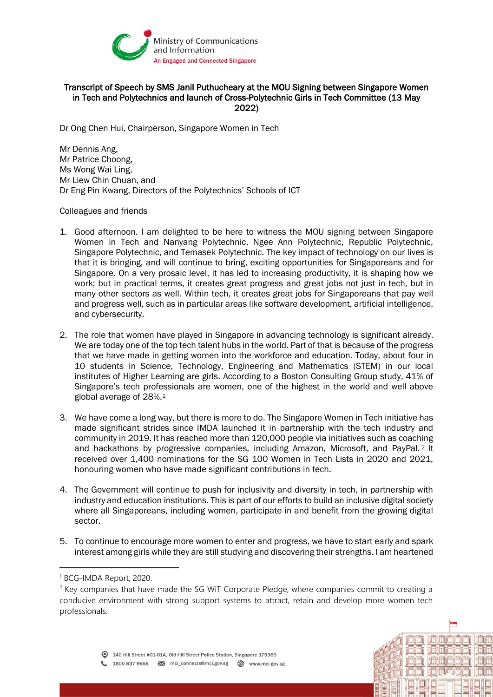

## Transcript of Speech by SMS Janil Puthucheary at the MOU Signing between Singapore Women in Tech and Polytechnics and launch of Cross-Polytechnic Girls in Tech Committee (13 May 2022)

Dr Ong Chen Hui, Chairperson, Singapore Women in Tech

Mr Dennis Ang, Mr Patrice Choong, Ms Wong Wai Ling, Mr Liew Chin Chuan, and Dr Eng Pin Kwang, Directors of the Polytechnics' Schools of ICT

Colleagues and friends

- 1. Good afternoon. I am delighted to be here to witness the MOU signing between Singapore Women in Tech and Nanyang Polytechnic, Ngee Ann Polytechnic, Republic Polytechnic, Singapore Polytechnic, and Temasek Polytechnic. The key impact of technology on our lives is that it is bringing, and will continue to bring, exciting opportunities for Singaporeans and for Singapore. On a very prosaic level, it has led to increasing productivity, it is shaping how we work; but in practical terms, it creates great progress and great jobs not just in tech, but in many other sectors as well. Within tech, it creates great jobs for Singaporeans that pay well and progress well, such as in particular areas like software development, artificial intelligence, and cybersecurity.
- 2. The role that women have played in Singapore in advancing technology is significant already. We are today one of the top tech talent hubs in the world. Part of that is because of the progress that we have made in getting women into the workforce and education. Today, about four in 10 students in Science, Technology, Engineering and Mathematics (STEM) in our local institutes of Higher Learning are girls. According to a Boston Consulting Group study, 41% of Singapore's tech professionals are women, one of the highest in the world and well above global average of 28%.<sup>1</sup>
- 3. We have come a long way, but there is more to do. The Singapore Women in Tech initiative has made significant strides since IMDA launched it in partnership with the tech industry and community in 2019. It has reached more than 120,000 people via initiatives such as coaching and hackathons by progressive companies, including Amazon, Microsoft, and PayPal. <sup>2</sup> It received over 1,400 nominations for the SG 100 Women in Tech Lists in 2020 and 2021, honouring women who have made significant contributions in tech.
- 4. The Government will continue to push for inclusivity and diversity in tech, in partnership with industry and education institutions. This is part of our efforts to build an inclusive digital society where all Singaporeans, including women, participate in and benefit from the growing digital sector.
- 5. To continue to encourage more women to enter and progress, we have to start early and spark interest among girls while they are still studying and discovering their strengths. I am heartened

<sup>1</sup> BCG-IMDA Report, 2020.

 $2$  Key companies that have made the SG WiT Corporate Pledge, where companies commit to creating a conducive environment with strong support systems to attract, retain and develop more women tech professionals.

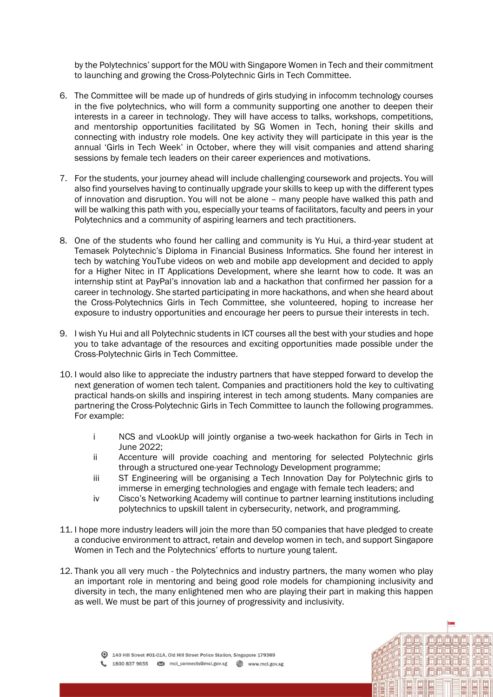by the Polytechnics' support for the MOU with Singapore Women in Tech and their commitment to launching and growing the Cross-Polytechnic Girls in Tech Committee.

- 6. The Committee will be made up of hundreds of girls studying in infocomm technology courses in the five polytechnics, who will form a community supporting one another to deepen their interests in a career in technology. They will have access to talks, workshops, competitions, and mentorship opportunities facilitated by SG Women in Tech, honing their skills and connecting with industry role models. One key activity they will participate in this year is the annual 'Girls in Tech Week' in October, where they will visit companies and attend sharing sessions by female tech leaders on their career experiences and motivations.
- 7. For the students, your journey ahead will include challenging coursework and projects. You will also find yourselves having to continually upgrade your skills to keep up with the different types of innovation and disruption. You will not be alone – many people have walked this path and will be walking this path with you, especially your teams of facilitators, faculty and peers in your Polytechnics and a community of aspiring learners and tech practitioners.
- 8. One of the students who found her calling and community is Yu Hui, a third-year student at Temasek Polytechnic's Diploma in Financial Business Informatics. She found her interest in tech by watching YouTube videos on web and mobile app development and decided to apply for a Higher Nitec in IT Applications Development, where she learnt how to code. It was an internship stint at PayPal's innovation lab and a hackathon that confirmed her passion for a career in technology. She started participating in more hackathons, and when she heard about the Cross-Polytechnics Girls in Tech Committee, she volunteered, hoping to increase her exposure to industry opportunities and encourage her peers to pursue their interests in tech.
- 9. I wish Yu Hui and all Polytechnic students in ICT courses all the best with your studies and hope you to take advantage of the resources and exciting opportunities made possible under the Cross-Polytechnic Girls in Tech Committee.
- 10. I would also like to appreciate the industry partners that have stepped forward to develop the next generation of women tech talent. Companies and practitioners hold the key to cultivating practical hands-on skills and inspiring interest in tech among students. Many companies are partnering the Cross-Polytechnic Girls in Tech Committee to launch the following programmes. For example:
	- i NCS and vLookUp will jointly organise a two-week hackathon for Girls in Tech in June 2022;
	- ii Accenture will provide coaching and mentoring for selected Polytechnic girls through a structured one-year Technology Development programme;
	- iii ST Engineering will be organising a Tech Innovation Day for Polytechnic girls to immerse in emerging technologies and engage with female tech leaders; and
	- iv Cisco's Networking Academy will continue to partner learning institutions including polytechnics to upskill talent in cybersecurity, network, and programming.
- 11. I hope more industry leaders will join the more than 50 companies that have pledged to create a conducive environment to attract, retain and develop women in tech, and support Singapore Women in Tech and the Polytechnics' efforts to nurture young talent.
- 12. Thank you all very much the Polytechnics and industry partners, the many women who play an important role in mentoring and being good role models for championing inclusivity and diversity in tech, the many enlightened men who are playing their part in making this happen as well. We must be part of this journey of progressivity and inclusivity.